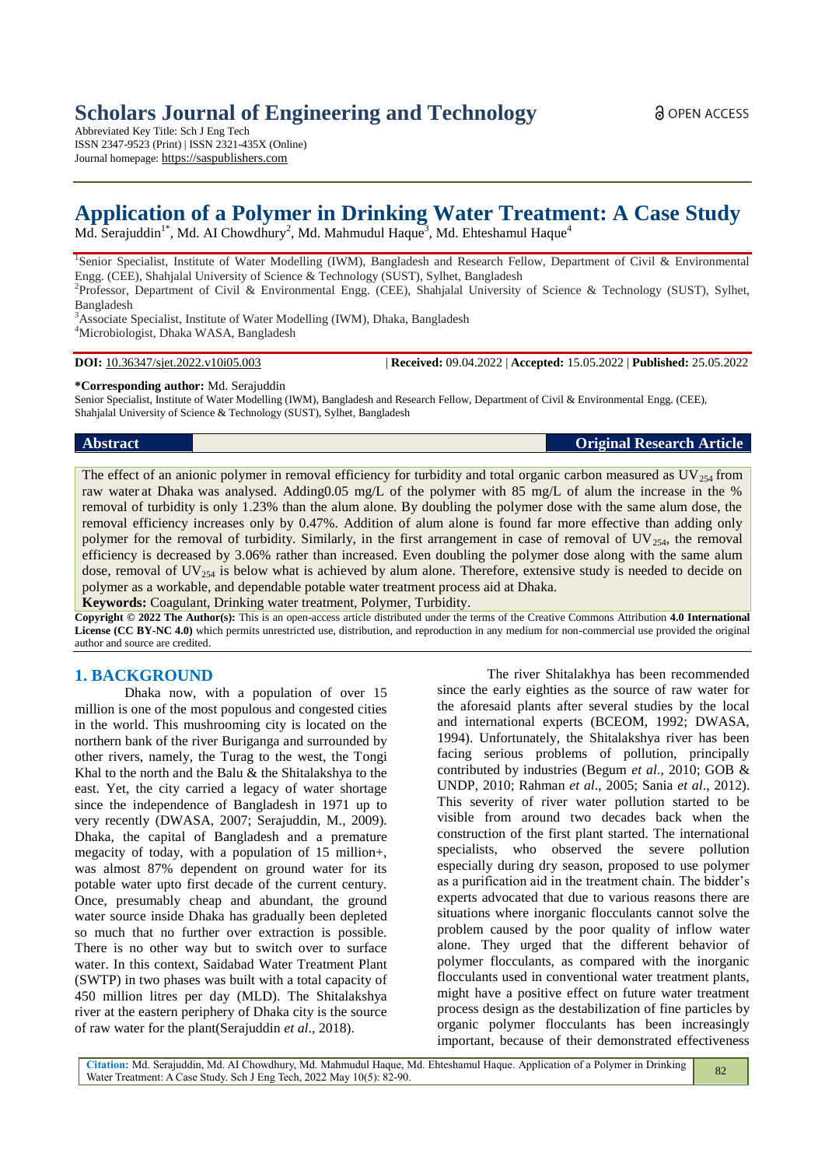# **Scholars Journal of Engineering and Technology**

Abbreviated Key Title: Sch J Eng Tech ISSN 2347-9523 (Print) | ISSN 2321-435X (Online) Journal homepage: https://saspublishers.com

# **Application of a Polymer in Drinking Water Treatment: A Case Study**

Md. Serajuddin<sup>1\*</sup>, Md. AI Chowdhury<sup>2</sup>, Md. Mahmudul Haque<sup>3</sup>, Md. Ehteshamul Haque<sup>4</sup>

<sup>1</sup>Senior Specialist, Institute of Water Modelling (IWM), Bangladesh and Research Fellow, Department of Civil & Environmental Engg. (CEE), Shahjalal University of Science & Technology (SUST), Sylhet, Bangladesh

2 Professor, Department of Civil & Environmental Engg. (CEE), Shahjalal University of Science & Technology (SUST), Sylhet, Bangladesh

<sup>3</sup>Associate Specialist, Institute of Water Modelling (IWM), Dhaka, Bangladesh <sup>4</sup>Microbiologist, Dhaka WASA, Bangladesh

**DOI:** 10.36347/sjet.2022.v10i05.003 | **Received:** 09.04.2022 | **Accepted:** 15.05.2022 | **Published:** 25.05.2022

**\*Corresponding author:** Md. Serajuddin

Senior Specialist, Institute of Water Modelling (IWM), Bangladesh and Research Fellow, Department of Civil & Environmental Engg. (CEE), Shahjalal University of Science & Technology (SUST), Sylhet, Bangladesh

**Abstract Original Research Article**

The effect of an anionic polymer in removal efficiency for turbidity and total organic carbon measured as  $UV_{254}$  from raw water at Dhaka was analysed. Adding0.05 mg/L of the polymer with 85 mg/L of alum the increase in the % removal of turbidity is only 1.23% than the alum alone. By doubling the polymer dose with the same alum dose, the removal efficiency increases only by 0.47%. Addition of alum alone is found far more effective than adding only polymer for the removal of turbidity. Similarly, in the first arrangement in case of removal of  $UV_{254}$ , the removal efficiency is decreased by 3.06% rather than increased. Even doubling the polymer dose along with the same alum dose, removal of  $UV_{254}$  is below what is achieved by alum alone. Therefore, extensive study is needed to decide on polymer as a workable, and dependable potable water treatment process aid at Dhaka.

**Keywords:** Coagulant, Drinking water treatment, Polymer, Turbidity.

**Copyright © 2022 The Author(s):** This is an open-access article distributed under the terms of the Creative Commons Attribution **4.0 International License (CC BY-NC 4.0)** which permits unrestricted use, distribution, and reproduction in any medium for non-commercial use provided the original author and source are credited.

# **1. BACKGROUND**

Dhaka now, with a population of over 15 million is one of the most populous and congested cities in the world. This mushrooming city is located on the northern bank of the river Buriganga and surrounded by other rivers, namely, the Turag to the west, the Tongi Khal to the north and the Balu & the Shitalakshya to the east. Yet, the city carried a legacy of water shortage since the independence of Bangladesh in 1971 up to very recently (DWASA, 2007; Serajuddin, M., 2009). Dhaka, the capital of Bangladesh and a premature megacity of today, with a population of 15 million+, was almost 87% dependent on ground water for its potable water upto first decade of the current century. Once, presumably cheap and abundant, the ground water source inside Dhaka has gradually been depleted so much that no further over extraction is possible. There is no other way but to switch over to surface water. In this context, Saidabad Water Treatment Plant (SWTP) in two phases was built with a total capacity of 450 million litres per day (MLD). The Shitalakshya river at the eastern periphery of Dhaka city is the source of raw water for the plant(Serajuddin *et al*., 2018).

The river Shitalakhya has been recommended since the early eighties as the source of raw water for the aforesaid plants after several studies by the local and international experts (BCEOM, 1992; DWASA, 1994). Unfortunately, the Shitalakshya river has been facing serious problems of pollution, principally contributed by industries (Begum *et al*., 2010; GOB & UNDP, 2010; Rahman *et al*., 2005; Sania *et al*., 2012). This severity of river water pollution started to be visible from around two decades back when the construction of the first plant started. The international specialists, who observed the severe pollution especially during dry season, proposed to use polymer as a purification aid in the treatment chain. The bidder's experts advocated that due to various reasons there are situations where inorganic flocculants cannot solve the problem caused by the poor quality of inflow water alone. They urged that the different behavior of polymer flocculants, as compared with the inorganic flocculants used in conventional water treatment plants, might have a positive effect on future water treatment process design as the destabilization of fine particles by organic polymer flocculants has been increasingly important, because of their demonstrated effectiveness

82

**Citation:** Md. Serajuddin, Md. AI Chowdhury, Md. Mahmudul Haque, Md. Ehteshamul Haque. Application of a Polymer in Drinking Water Treatment: A Case Study. Sch J Eng Tech, 2022 May 10(5): 82-90.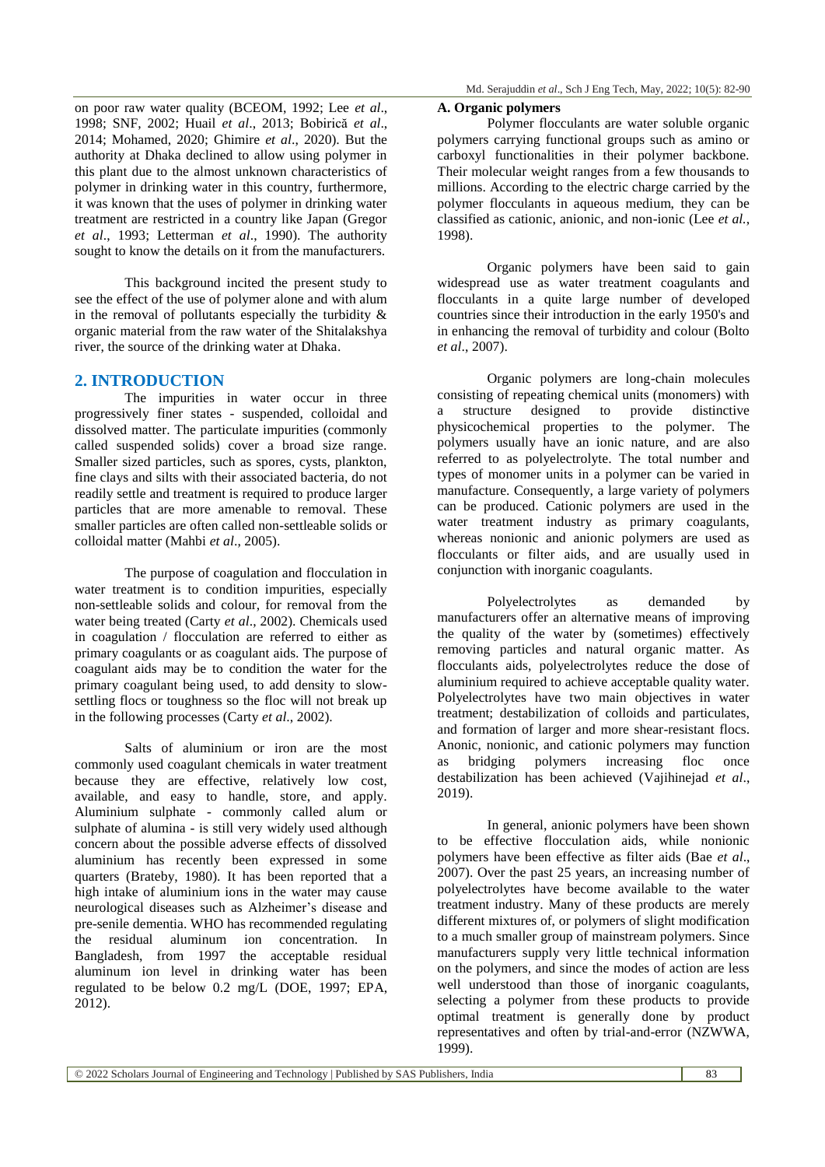on poor raw water quality (BCEOM, 1992; Lee *et al*., 1998; SNF, 2002; Huail *et al*., 2013; Bobirică *et al*., 2014; Mohamed, 2020; Ghimire *et al*., 2020). But the authority at Dhaka declined to allow using polymer in this plant due to the almost unknown characteristics of polymer in drinking water in this country, furthermore, it was known that the uses of polymer in drinking water treatment are restricted in a country like Japan (Gregor *et al*., 1993; Letterman *et al*., 1990). The authority sought to know the details on it from the manufacturers.

This background incited the present study to see the effect of the use of polymer alone and with alum in the removal of pollutants especially the turbidity & organic material from the raw water of the Shitalakshya river, the source of the drinking water at Dhaka.

# **2. INTRODUCTION**

The impurities in water occur in three progressively finer states - suspended, colloidal and dissolved matter. The particulate impurities (commonly called suspended solids) cover a broad size range. Smaller sized particles, such as spores, cysts, plankton, fine clays and silts with their associated bacteria, do not readily settle and treatment is required to produce larger particles that are more amenable to removal. These smaller particles are often called non-settleable solids or colloidal matter (Mahbi *et al*., 2005).

The purpose of coagulation and flocculation in water treatment is to condition impurities, especially non-settleable solids and colour, for removal from the water being treated (Carty *et al*., 2002). Chemicals used in coagulation / flocculation are referred to either as primary coagulants or as coagulant aids. The purpose of coagulant aids may be to condition the water for the primary coagulant being used, to add density to slowsettling flocs or toughness so the floc will not break up in the following processes (Carty *et al*., 2002).

Salts of aluminium or iron are the most commonly used coagulant chemicals in water treatment because they are effective, relatively low cost, available, and easy to handle, store, and apply. Aluminium sulphate - commonly called alum or sulphate of alumina - is still very widely used although concern about the possible adverse effects of dissolved aluminium has recently been expressed in some quarters (Brateby, 1980). It has been reported that a high intake of aluminium ions in the water may cause neurological diseases such as Alzheimer's disease and pre-senile dementia. WHO has recommended regulating the residual aluminum ion concentration. In Bangladesh, from 1997 the acceptable residual aluminum ion level in drinking water has been regulated to be below 0.2 mg/L (DOE, 1997; EPA, 2012).

### **A. Organic polymers**

Polymer flocculants are water soluble organic polymers carrying functional groups such as amino or carboxyl functionalities in their polymer backbone. Their molecular weight ranges from a few thousands to millions. According to the electric charge carried by the polymer flocculants in aqueous medium, they can be classified as cationic, anionic, and non-ionic (Lee *et al.*, 1998).

Organic polymers have been said to gain widespread use as water treatment coagulants and flocculants in a quite large number of developed countries since their introduction in the early 1950's and in enhancing the removal of turbidity and colour (Bolto *et al*., 2007).

Organic polymers are long-chain molecules consisting of repeating chemical units (monomers) with a structure designed to provide distinctive physicochemical properties to the polymer. The polymers usually have an ionic nature, and are also referred to as polyelectrolyte. The total number and types of monomer units in a polymer can be varied in manufacture. Consequently, a large variety of polymers can be produced. Cationic polymers are used in the water treatment industry as primary coagulants, whereas nonionic and anionic polymers are used as flocculants or filter aids, and are usually used in conjunction with inorganic coagulants.

Polyelectrolytes as demanded by manufacturers offer an alternative means of improving the quality of the water by (sometimes) effectively removing particles and natural organic matter. As flocculants aids, polyelectrolytes reduce the dose of aluminium required to achieve acceptable quality water. Polyelectrolytes have two main objectives in water treatment; destabilization of colloids and particulates, and formation of larger and more shear-resistant flocs. Anonic, nonionic, and cationic polymers may function as bridging polymers increasing floc once destabilization has been achieved (Vajihinejad *et al*., 2019).

In general, anionic polymers have been shown to be effective flocculation aids, while nonionic polymers have been effective as filter aids (Bae *et al*., 2007). Over the past 25 years, an increasing number of polyelectrolytes have become available to the water treatment industry. Many of these products are merely different mixtures of, or polymers of slight modification to a much smaller group of mainstream polymers. Since manufacturers supply very little technical information on the polymers, and since the modes of action are less well understood than those of inorganic coagulants, selecting a polymer from these products to provide optimal treatment is generally done by product representatives and often by trial-and-error (NZWWA, 1999).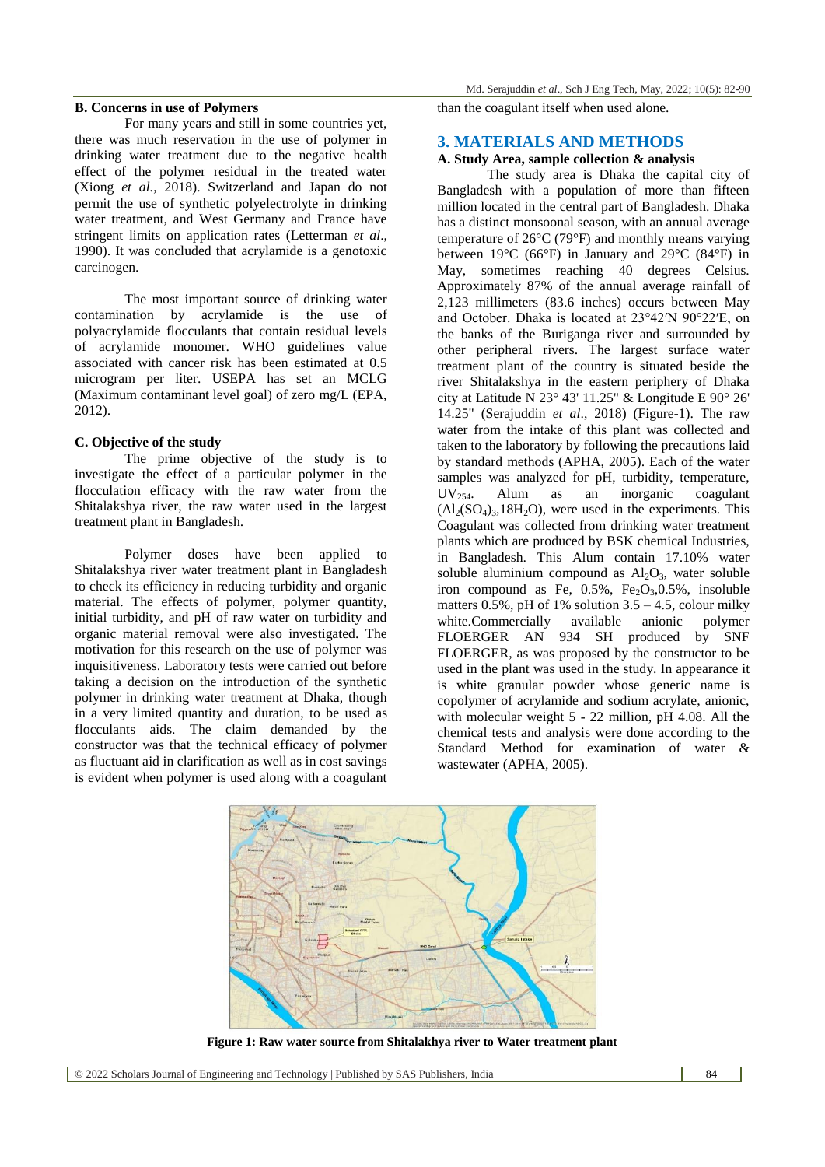#### **B. Concerns in use of Polymers**

For many years and still in some countries yet, there was much reservation in the use of polymer in drinking water treatment due to the negative health effect of the polymer residual in the treated water (Xiong *et al.*, 2018). Switzerland and Japan do not permit the use of synthetic polyelectrolyte in drinking water treatment, and West Germany and France have stringent limits on application rates (Letterman *et al*., 1990). It was concluded that acrylamide is a genotoxic carcinogen.

The most important source of drinking water contamination by acrylamide is the use of polyacrylamide flocculants that contain residual levels of acrylamide monomer. WHO guidelines value associated with cancer risk has been estimated at 0.5 microgram per liter. USEPA has set an MCLG (Maximum contaminant level goal) of zero mg/L (EPA, 2012).

#### **C. Objective of the study**

The prime objective of the study is to investigate the effect of a particular polymer in the flocculation efficacy with the raw water from the Shitalakshya river, the raw water used in the largest treatment plant in Bangladesh.

Polymer doses have been applied to Shitalakshya river water treatment plant in Bangladesh to check its efficiency in reducing turbidity and organic material. The effects of polymer, polymer quantity, initial turbidity, and pH of raw water on turbidity and organic material removal were also investigated. The motivation for this research on the use of polymer was inquisitiveness. Laboratory tests were carried out before taking a decision on the introduction of the synthetic polymer in drinking water treatment at Dhaka, though in a very limited quantity and duration, to be used as flocculants aids. The claim demanded by the constructor was that the technical efficacy of polymer as fluctuant aid in clarification as well as in cost savings is evident when polymer is used along with a coagulant

than the coagulant itself when used alone.

# **3. MATERIALS AND METHODS**

# **A. Study Area, sample collection & analysis**

The study area is Dhaka the capital city of Bangladesh with a population of more than fifteen million located in the central part of Bangladesh. Dhaka has a distinct monsoonal season, with an annual average temperature of 26°C (79°F) and monthly means varying between 19°C (66°F) in January and 29°C (84°F) in May, sometimes reaching 40 degrees Celsius. Approximately 87% of the annual average rainfall of 2,123 millimeters (83.6 inches) occurs between May and October. Dhaka is located at 23°42′N 90°22′E, on the banks of the Buriganga river and surrounded by other peripheral rivers. The largest surface water treatment plant of the country is situated beside the river Shitalakshya in the eastern periphery of Dhaka city at Latitude N 23° 43' 11.25" & Longitude E 90° 26' 14.25" (Serajuddin *et al*., 2018) (Figure-1). The raw water from the intake of this plant was collected and taken to the laboratory by following the precautions laid by standard methods (APHA, 2005). Each of the water samples was analyzed for pH, turbidity, temperature,  $UV_{254}$ . Alum as an inorganic coagulant  $(Al_2(SO_4)_3,18H_2O)$ , were used in the experiments. This Coagulant was collected from drinking water treatment plants which are produced by BSK chemical Industries, in Bangladesh. This Alum contain 17.10% water soluble aluminium compound as  $Al_2O_3$ , water soluble iron compound as Fe,  $0.5\%$ , Fe<sub>2</sub>O<sub>3</sub>, $0.5\%$ , insoluble matters  $0.5\%$ , pH of 1% solution  $3.5 - 4.5$ , colour milky white.Commercially available anionic polymer FLOERGER AN 934 SH produced by SNF FLOERGER, as was proposed by the constructor to be used in the plant was used in the study. In appearance it is white granular powder whose generic name is copolymer of acrylamide and sodium acrylate, anionic, with molecular weight 5 - 22 million, pH 4.08. All the chemical tests and analysis were done according to the Standard Method for examination of water & wastewater (APHA, 2005).



**Figure 1: Raw water source from Shitalakhya river to Water treatment plant**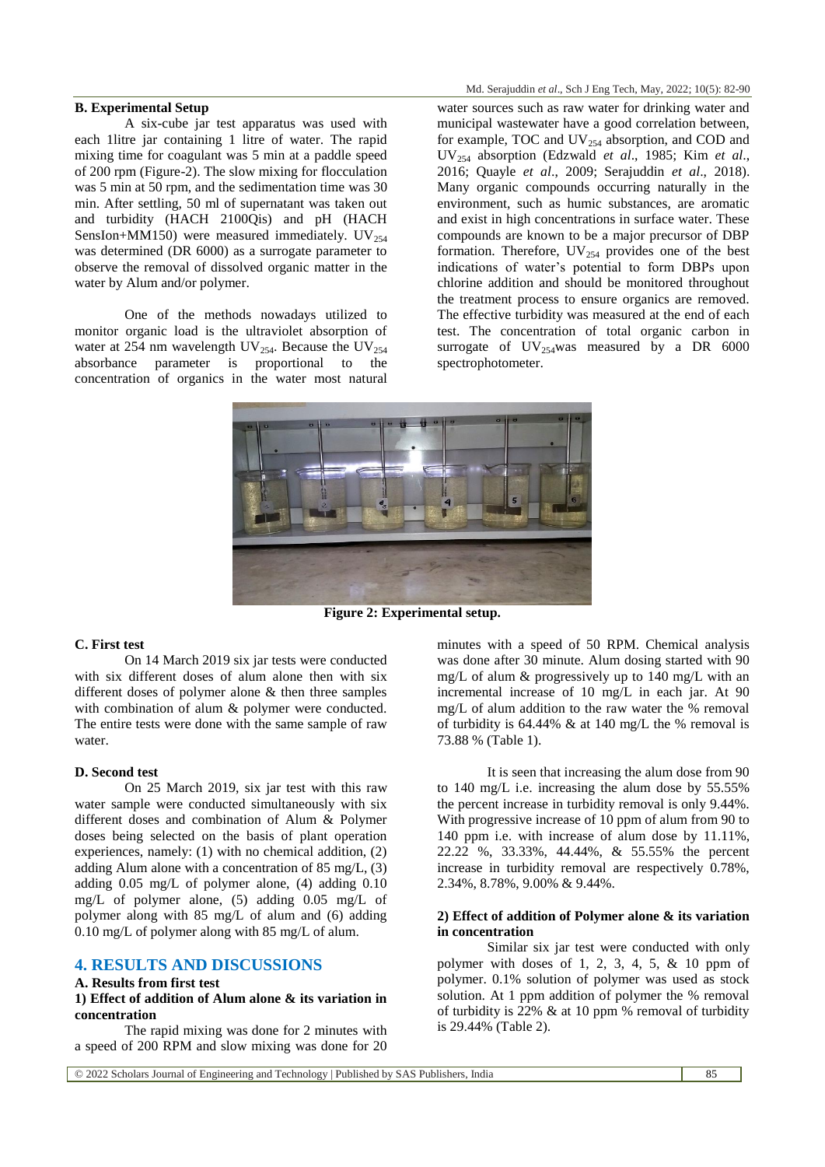# **B. Experimental Setup**

A six-cube jar test apparatus was used with each 1litre jar containing 1 litre of water. The rapid mixing time for coagulant was 5 min at a paddle speed of 200 rpm (Figure-2). The slow mixing for flocculation was 5 min at 50 rpm, and the sedimentation time was 30 min. After settling, 50 ml of supernatant was taken out and turbidity (HACH 2100Qis) and pH (HACH SensIon+MM150) were measured immediately.  $UV_{254}$ was determined (DR 6000) as a surrogate parameter to observe the removal of dissolved organic matter in the water by Alum and/or polymer.

One of the methods nowadays utilized to monitor organic load is the ultraviolet absorption of water at 254 nm wavelength UV<sub>254</sub>. Because the UV<sub>254</sub> absorbance parameter is proportional to the concentration of organics in the water most natural

water sources such as raw water for drinking water and municipal wastewater have a good correlation between, for example, TOC and  $UV_{254}$  absorption, and COD and UV<sup>254</sup> absorption (Edzwald *et al*., 1985; Kim *et al*., 2016; Quayle *et al*., 2009; Serajuddin *et al*., 2018). Many organic compounds occurring naturally in the environment, such as humic substances, are aromatic and exist in high concentrations in surface water. These compounds are known to be a major precursor of DBP formation. Therefore,  $UV_{254}$  provides one of the best indications of water's potential to form DBPs upon chlorine addition and should be monitored throughout the treatment process to ensure organics are removed. The effective turbidity was measured at the end of each test. The concentration of total organic carbon in surrogate of  $UV_{254}$ was measured by a DR 6000 spectrophotometer.



**Figure 2: Experimental setup.**

#### **C. First test**

On 14 March 2019 six jar tests were conducted with six different doses of alum alone then with six different doses of polymer alone & then three samples with combination of alum  $\&$  polymer were conducted. The entire tests were done with the same sample of raw water.

#### **D. Second test**

On 25 March 2019, six jar test with this raw water sample were conducted simultaneously with six different doses and combination of Alum & Polymer doses being selected on the basis of plant operation experiences, namely: (1) with no chemical addition, (2) adding Alum alone with a concentration of 85 mg/L, (3) adding 0.05 mg/L of polymer alone, (4) adding 0.10 mg/L of polymer alone, (5) adding 0.05 mg/L of polymer along with 85 mg/L of alum and (6) adding 0.10 mg/L of polymer along with 85 mg/L of alum.

# **4. RESULTS AND DISCUSSIONS**

#### **A. Results from first test**

# **1) Effect of addition of Alum alone & its variation in concentration**

The rapid mixing was done for 2 minutes with a speed of 200 RPM and slow mixing was done for 20

minutes with a speed of 50 RPM. Chemical analysis was done after 30 minute. Alum dosing started with 90 mg/L of alum & progressively up to 140 mg/L with an incremental increase of 10 mg/L in each jar. At 90 mg/L of alum addition to the raw water the % removal of turbidity is  $64.44\%$  & at 140 mg/L the % removal is 73.88 % (Table 1).

It is seen that increasing the alum dose from 90 to 140 mg/L i.e. increasing the alum dose by 55.55% the percent increase in turbidity removal is only 9.44%. With progressive increase of 10 ppm of alum from 90 to 140 ppm i.e. with increase of alum dose by 11.11%, 22.22 %, 33.33%, 44.44%, & 55.55% the percent increase in turbidity removal are respectively 0.78%, 2.34%, 8.78%, 9.00% & 9.44%.

#### **2) Effect of addition of Polymer alone & its variation in concentration**

Similar six jar test were conducted with only polymer with doses of 1, 2, 3, 4, 5,  $\&$  10 ppm of polymer. 0.1% solution of polymer was used as stock solution. At 1 ppm addition of polymer the % removal of turbidity is  $22\%$  & at 10 ppm % removal of turbidity is 29.44% (Table 2).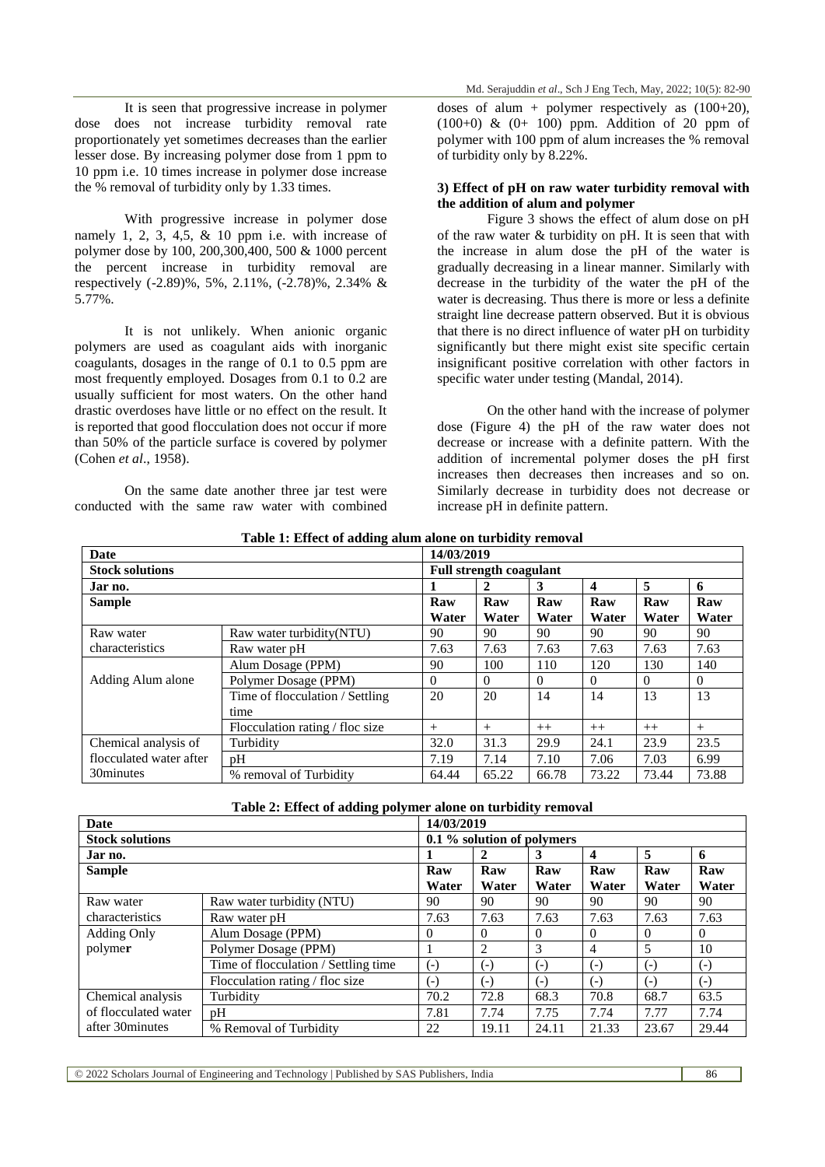It is seen that progressive increase in polymer dose does not increase turbidity removal rate proportionately yet sometimes decreases than the earlier lesser dose. By increasing polymer dose from 1 ppm to 10 ppm i.e. 10 times increase in polymer dose increase the % removal of turbidity only by 1.33 times.

With progressive increase in polymer dose namely 1, 2, 3, 4,5,  $\&$  10 ppm i.e. with increase of polymer dose by 100, 200,300,400, 500 & 1000 percent the percent increase in turbidity removal are respectively (-2.89)%, 5%, 2.11%, (-2.78)%, 2.34% & 5.77%.

It is not unlikely. When anionic organic polymers are used as coagulant aids with inorganic coagulants, dosages in the range of 0.1 to 0.5 ppm are most frequently employed. Dosages from 0.1 to 0.2 are usually sufficient for most waters. On the other hand drastic overdoses have little or no effect on the result. It is reported that good flocculation does not occur if more than 50% of the particle surface is covered by polymer (Cohen *et al*., 1958).

On the same date another three jar test were conducted with the same raw water with combined doses of alum + polymer respectively as  $(100+20)$ ,  $(100+0)$  &  $(0+100)$  ppm. Addition of 20 ppm of polymer with 100 ppm of alum increases the % removal of turbidity only by 8.22%.

#### **3) Effect of pH on raw water turbidity removal with the addition of alum and polymer**

Figure 3 shows the effect of alum dose on pH of the raw water & turbidity on pH. It is seen that with the increase in alum dose the pH of the water is gradually decreasing in a linear manner. Similarly with decrease in the turbidity of the water the pH of the water is decreasing. Thus there is more or less a definite straight line decrease pattern observed. But it is obvious that there is no direct influence of water pH on turbidity significantly but there might exist site specific certain insignificant positive correlation with other factors in specific water under testing (Mandal, 2014).

On the other hand with the increase of polymer dose (Figure 4) the pH of the raw water does not decrease or increase with a definite pattern. With the addition of incremental polymer doses the pH first increases then decreases then increases and so on. Similarly decrease in turbidity does not decrease or increase pH in definite pattern.

| Table 1: Effect of adding alum alone on turbidity removal |  |  |
|-----------------------------------------------------------|--|--|
|                                                           |  |  |

| Date                    |                                 | 14/03/2019                     |          |          |          |          |          |  |
|-------------------------|---------------------------------|--------------------------------|----------|----------|----------|----------|----------|--|
| <b>Stock solutions</b>  |                                 | <b>Full strength coagulant</b> |          |          |          |          |          |  |
| Jar no.                 |                                 |                                | 2        | 3        | 4        | 5        | 6        |  |
| <b>Sample</b>           |                                 | Raw                            | Raw      | Raw      | Raw      | Raw      | Raw      |  |
|                         |                                 | Water                          | Water    | Water    | Water    | Water    | Water    |  |
| Raw water               | Raw water turbidity (NTU)       | 90                             | 90       | 90       | 90       | 90       | 90       |  |
| characteristics         | Raw water pH                    | 7.63                           | 7.63     | 7.63     | 7.63     | 7.63     | 7.63     |  |
|                         | Alum Dosage (PPM)               | 90                             | 100      | 110      | 120      | 130      | 140      |  |
| Adding Alum alone       | Polymer Dosage (PPM)            | $\Omega$                       | $\Omega$ | $\Omega$ | $\Omega$ | $\Omega$ | $\Omega$ |  |
|                         | Time of flocculation / Settling | 20                             | 20       | 14       | 14       | 13       | 13       |  |
|                         | time                            |                                |          |          |          |          |          |  |
|                         | Flocculation rating / floc size | $+$                            | $+$      | $++$     | $++$     | $++$     | $+$      |  |
| Chemical analysis of    | Turbidity                       | 32.0                           | 31.3     | 29.9     | 24.1     | 23.9     | 23.5     |  |
| flocculated water after | pH                              | 7.19                           | 7.14     | 7.10     | 7.06     | 7.03     | 6.99     |  |
| 30minutes               | % removal of Turbidity          | 64.44                          | 65.22    | 66.78    | 73.22    | 73.44    | 73.88    |  |

| Table 2: Effect of adding polymer alone on turbidity removal |  |  |  |  |  |
|--------------------------------------------------------------|--|--|--|--|--|
|--------------------------------------------------------------|--|--|--|--|--|

| Date                                      |                                      | 14/03/2019                 |                |          |                         |          |          |  |
|-------------------------------------------|--------------------------------------|----------------------------|----------------|----------|-------------------------|----------|----------|--|
| <b>Stock solutions</b>                    |                                      | 0.1 % solution of polymers |                |          |                         |          |          |  |
| Jar no.                                   |                                      |                            | 2              | 3        | $\overline{\mathbf{4}}$ | 5        | 6        |  |
| <b>Sample</b>                             |                                      | Raw                        | Raw            | Raw      | Raw                     | Raw      | Raw      |  |
|                                           |                                      | Water                      | Water          | Water    | Water                   | Water    | Water    |  |
| Raw water                                 | Raw water turbidity (NTU)            | 90                         | 90             | 90       | 90                      | 90       | 90       |  |
| characteristics                           | Raw water pH                         | 7.63                       | 7.63           | 7.63     | 7.63                    | 7.63     | 7.63     |  |
| <b>Adding Only</b>                        | Alum Dosage (PPM)                    | $\Omega$                   | $\Omega$       | $\theta$ | $\theta$                | $\Omega$ | $\theta$ |  |
| polymer                                   | Polymer Dosage (PPM)                 |                            | $\overline{c}$ | 3        | $\overline{4}$          | 5        | 10       |  |
|                                           | Time of flocculation / Settling time | $(-)$                      | $(-)$          | $(-)$    | $(-)$                   | $(-)$    | $(-)$    |  |
|                                           | Flocculation rating / floc size      | $(-)$                      | $(-)$          | $(-)$    | $(-)$                   | $(-)$    | $(-)$    |  |
| Chemical analysis<br>of flocculated water | Turbidity                            | 70.2                       | 72.8           | 68.3     | 70.8                    | 68.7     | 63.5     |  |
|                                           | pH                                   | 7.81                       | 7.74           | 7.75     | 7.74                    | 7.77     | 7.74     |  |
| after 30 minutes                          | % Removal of Turbidity               | 22                         | 19.11          | 24.11    | 21.33                   | 23.67    | 29.44    |  |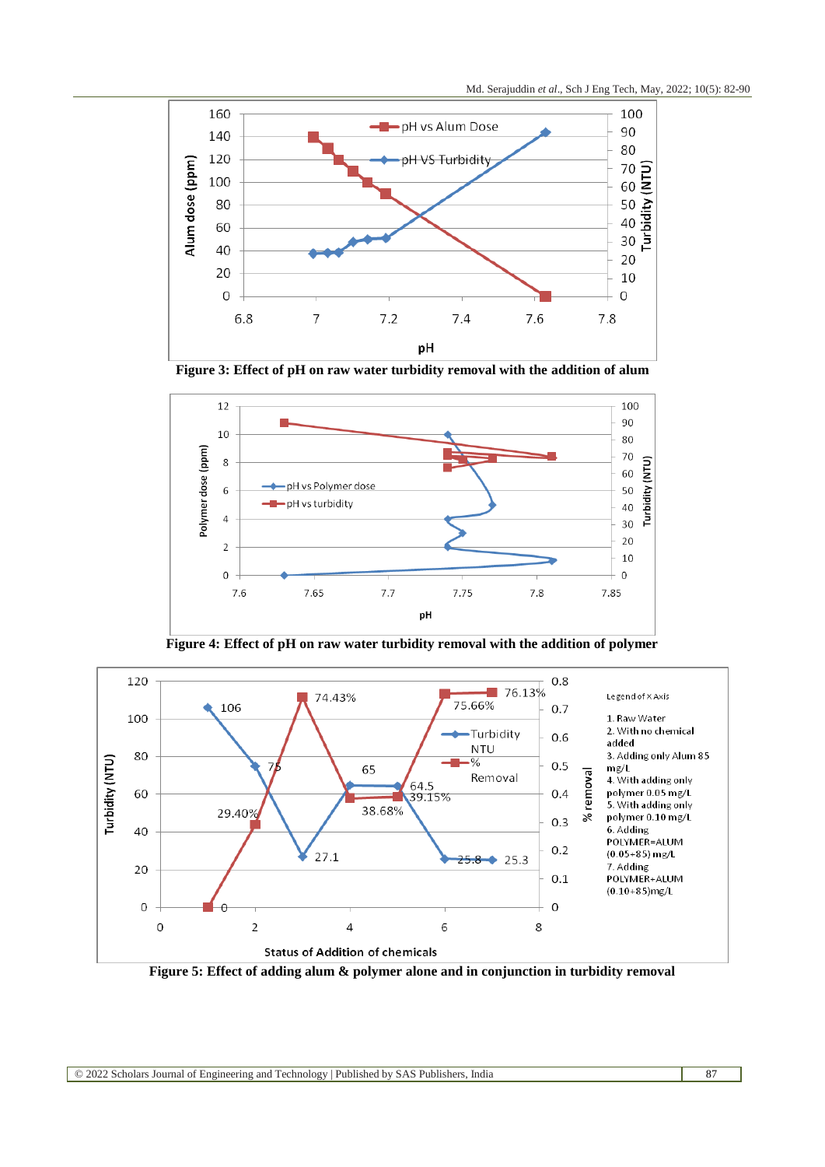

**Figure 3: Effect of pH on raw water turbidity removal with the addition of alum**



**Figure 4: Effect of pH on raw water turbidity removal with the addition of polymer**



**Figure 5: Effect of adding alum & polymer alone and in conjunction in turbidity removal**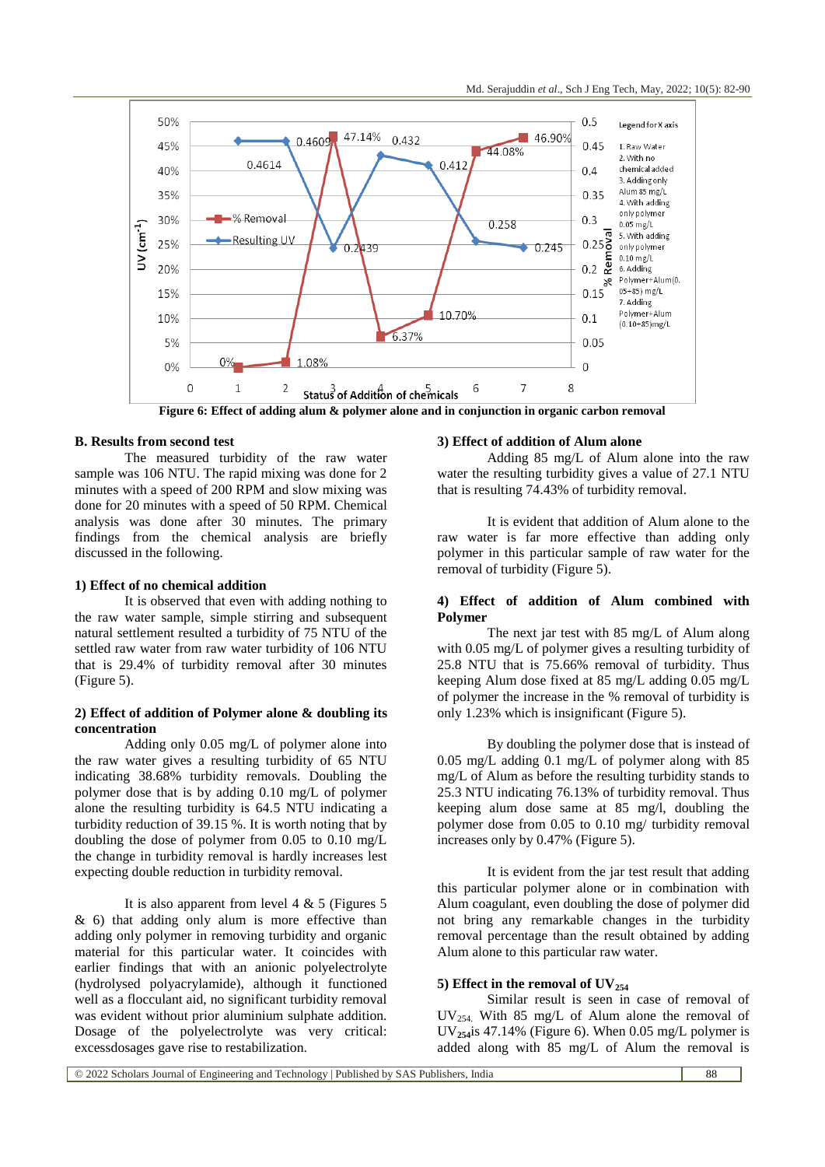

**B. Results from second test**

The measured turbidity of the raw water sample was 106 NTU. The rapid mixing was done for 2 minutes with a speed of 200 RPM and slow mixing was done for 20 minutes with a speed of 50 RPM. Chemical analysis was done after 30 minutes. The primary findings from the chemical analysis are briefly discussed in the following.

### **1) Effect of no chemical addition**

It is observed that even with adding nothing to the raw water sample, simple stirring and subsequent natural settlement resulted a turbidity of 75 NTU of the settled raw water from raw water turbidity of 106 NTU that is 29.4% of turbidity removal after 30 minutes (Figure 5).

# **2) Effect of addition of Polymer alone & doubling its concentration**

Adding only 0.05 mg/L of polymer alone into the raw water gives a resulting turbidity of 65 NTU indicating 38.68% turbidity removals. Doubling the polymer dose that is by adding 0.10 mg/L of polymer alone the resulting turbidity is 64.5 NTU indicating a turbidity reduction of 39.15 %. It is worth noting that by doubling the dose of polymer from 0.05 to 0.10 mg/L the change in turbidity removal is hardly increases lest expecting double reduction in turbidity removal.

It is also apparent from level  $4 \& 5$  (Figures  $5$  $\&$  6) that adding only alum is more effective than adding only polymer in removing turbidity and organic material for this particular water. It coincides with earlier findings that with an anionic polyelectrolyte (hydrolysed polyacrylamide), although it functioned well as a flocculant aid, no significant turbidity removal was evident without prior aluminium sulphate addition. Dosage of the polyelectrolyte was very critical: excessdosages gave rise to restabilization.

#### **3) Effect of addition of Alum alone**

Adding 85 mg/L of Alum alone into the raw water the resulting turbidity gives a value of 27.1 NTU that is resulting 74.43% of turbidity removal.

It is evident that addition of Alum alone to the raw water is far more effective than adding only polymer in this particular sample of raw water for the removal of turbidity (Figure 5).

# **4) Effect of addition of Alum combined with Polymer**

The next jar test with 85 mg/L of Alum along with 0.05 mg/L of polymer gives a resulting turbidity of 25.8 NTU that is 75.66% removal of turbidity. Thus keeping Alum dose fixed at 85 mg/L adding 0.05 mg/L of polymer the increase in the % removal of turbidity is only 1.23% which is insignificant (Figure 5).

By doubling the polymer dose that is instead of 0.05 mg/L adding 0.1 mg/L of polymer along with 85 mg/L of Alum as before the resulting turbidity stands to 25.3 NTU indicating 76.13% of turbidity removal. Thus keeping alum dose same at 85 mg/l, doubling the polymer dose from 0.05 to 0.10 mg/ turbidity removal increases only by 0.47% (Figure 5).

It is evident from the jar test result that adding this particular polymer alone or in combination with Alum coagulant, even doubling the dose of polymer did not bring any remarkable changes in the turbidity removal percentage than the result obtained by adding Alum alone to this particular raw water.

#### **5) Effect in the removal of UV<sup>254</sup>**

Similar result is seen in case of removal of  $UV_{254}$  With 85 mg/L of Alum alone the removal of UV**254**is 47.14% (Figure 6). When 0.05 mg/L polymer is added along with 85 mg/L of Alum the removal is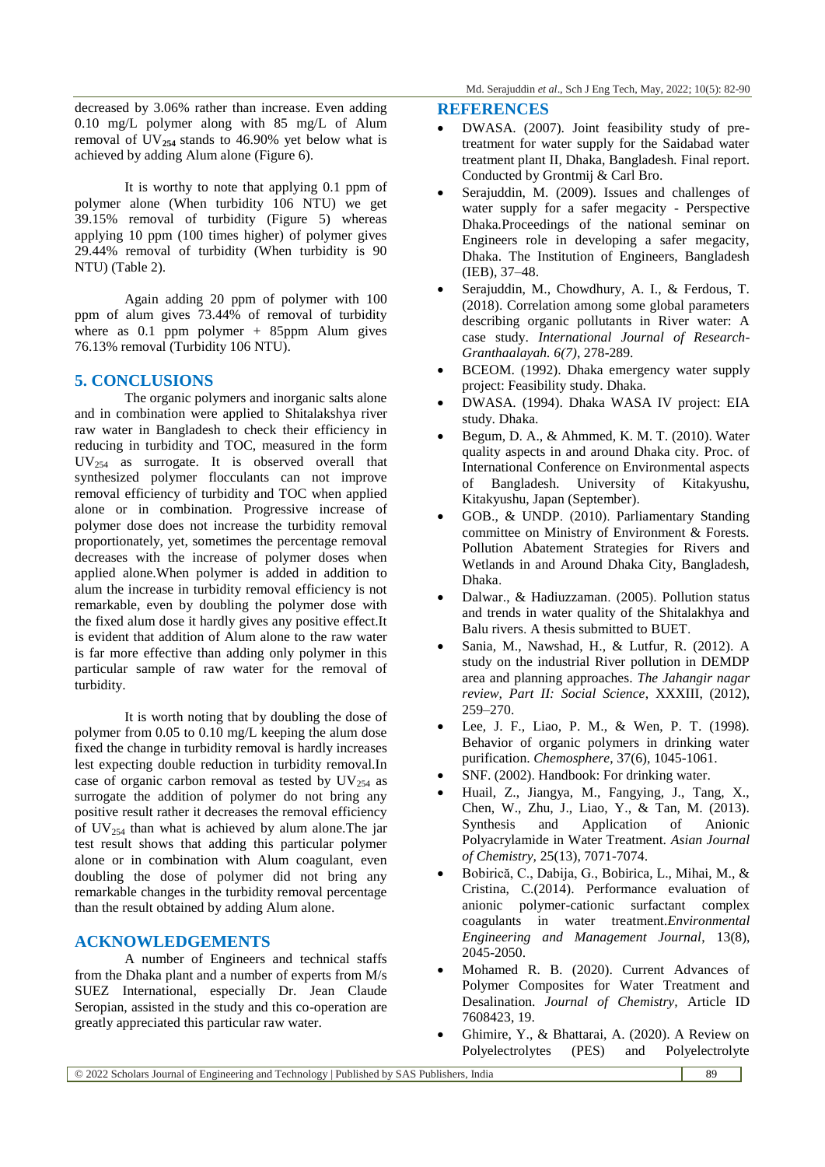decreased by 3.06% rather than increase. Even adding 0.10 mg/L polymer along with 85 mg/L of Alum removal of  $UV_{254}$  stands to 46.90% yet below what is achieved by adding Alum alone (Figure 6).

It is worthy to note that applying 0.1 ppm of polymer alone (When turbidity 106 NTU) we get 39.15% removal of turbidity (Figure 5) whereas applying 10 ppm (100 times higher) of polymer gives 29.44% removal of turbidity (When turbidity is 90 NTU) (Table 2).

Again adding 20 ppm of polymer with 100 ppm of alum gives 73.44% of removal of turbidity where as  $0.1$  ppm polymer + 85ppm Alum gives 76.13% removal (Turbidity 106 NTU).

# **5. CONCLUSIONS**

The organic polymers and inorganic salts alone and in combination were applied to Shitalakshya river raw water in Bangladesh to check their efficiency in reducing in turbidity and TOC, measured in the form UV<sup>254</sup> as surrogate. It is observed overall that synthesized polymer flocculants can not improve removal efficiency of turbidity and TOC when applied alone or in combination. Progressive increase of polymer dose does not increase the turbidity removal proportionately, yet, sometimes the percentage removal decreases with the increase of polymer doses when applied alone.When polymer is added in addition to alum the increase in turbidity removal efficiency is not remarkable, even by doubling the polymer dose with the fixed alum dose it hardly gives any positive effect.It is evident that addition of Alum alone to the raw water is far more effective than adding only polymer in this particular sample of raw water for the removal of turbidity.

It is worth noting that by doubling the dose of polymer from 0.05 to 0.10 mg/L keeping the alum dose fixed the change in turbidity removal is hardly increases lest expecting double reduction in turbidity removal.In case of organic carbon removal as tested by  $UV_{254}$  as surrogate the addition of polymer do not bring any positive result rather it decreases the removal efficiency of  $UV_{254}$  than what is achieved by alum alone. The jar test result shows that adding this particular polymer alone or in combination with Alum coagulant, even doubling the dose of polymer did not bring any remarkable changes in the turbidity removal percentage than the result obtained by adding Alum alone.

# **ACKNOWLEDGEMENTS**

A number of Engineers and technical staffs from the Dhaka plant and a number of experts from M/s SUEZ International, especially Dr. Jean Claude Seropian, assisted in the study and this co-operation are greatly appreciated this particular raw water.

#### **REFERENCES**

- DWASA. (2007). Joint feasibility study of pretreatment for water supply for the Saidabad water treatment plant II, Dhaka, Bangladesh*.* Final report. Conducted by Grontmij & Carl Bro.
- Serajuddin, M. (2009). Issues and challenges of water supply for a safer megacity - Perspective Dhaka*.*Proceedings of the national seminar on Engineers role in developing a safer megacity, Dhaka. The Institution of Engineers, Bangladesh (IEB), 37–48.
- Serajuddin, M., Chowdhury, A. I., & Ferdous, T. (2018). Correlation among some global parameters describing organic pollutants in River water: A case study. *International Journal of Research-Granthaalayah. 6(7)*, 278-289.
- BCEOM. (1992). Dhaka emergency water supply project: Feasibility study. Dhaka.
- DWASA. (1994). Dhaka WASA IV project: EIA study. Dhaka.
- Begum, D. A., & Ahmmed, K. M. T. (2010). Water quality aspects in and around Dhaka city. Proc. of International Conference on Environmental aspects of Bangladesh. University of Kitakyushu, Kitakyushu, Japan (September).
- GOB., & UNDP. (2010). Parliamentary Standing committee on Ministry of Environment & Forests. Pollution Abatement Strategies for Rivers and Wetlands in and Around Dhaka City, Bangladesh, Dhaka.
- Dalwar., & Hadiuzzaman. (2005). Pollution status and trends in water quality of the Shitalakhya and Balu rivers. A thesis submitted to BUET.
- Sania, M., Nawshad, H., & Lutfur, R. (2012). A study on the industrial River pollution in DEMDP area and planning approaches. *The Jahangir nagar review, Part II: Social Science*, XXXIII, (2012), 259–270.
- Lee, J. F., Liao, P. M., & Wen, P. T. (1998). Behavior of organic polymers in drinking water purification. *Chemosphere*, 37(6), 1045-1061.
- SNF. (2002). Handbook: For drinking water.
- Huail, Z., Jiangya, M., Fangying, J., Tang, X., Chen, W., Zhu, J., Liao, Y., & Tan, M. (2013). Synthesis and Application of Anionic Polyacrylamide in Water Treatment. *Asian Journal of Chemistry,* 25(13), 7071-7074.
- Bobirică, C., Dabija, G., Bobirica, L., Mihai, M., & Cristina, C.(2014). Performance evaluation of anionic polymer-cationic surfactant complex coagulants in water treatment.*Environmental Engineering and Management Journal*, 13(8), 2045-2050.
- Mohamed R. B. (2020). Current Advances of Polymer Composites for Water Treatment and Desalination. *Journal of Chemistry,* Article ID 7608423, 19.
- Ghimire, Y., & Bhattarai, A. (2020). A Review on Polyelectrolytes (PES) and Polyelectrolyte